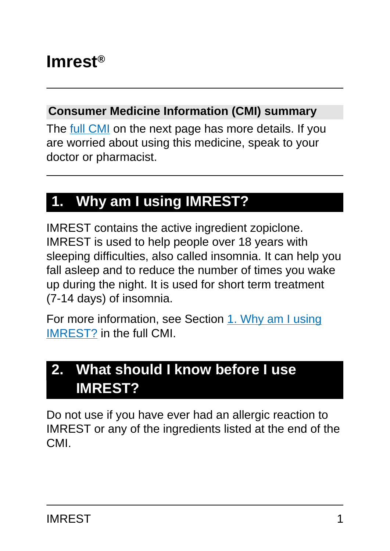#### **Consumer Medicine Information (CMI) summary**

The [full CMI](#page-4-0) on the next page has more details. If you are worried about using this medicine, speak to your doctor or pharmacist.

# **1. Why am I using IMREST?**

IMREST contains the active ingredient zopiclone. IMREST is used to help people over 18 years with sleeping difficulties, also called insomnia. It can help you fall asleep and to reduce the number of times you wake up during the night. It is used for short term treatment (7-14 days) of insomnia.

For more information, see Section [1. Why am I using](#page-4-1) [IMREST?](#page-4-1) in the full CMI.

# **2. What should I know before I use IMREST?**

Do not use if you have ever had an allergic reaction to IMREST or any of the ingredients listed at the end of the CMI.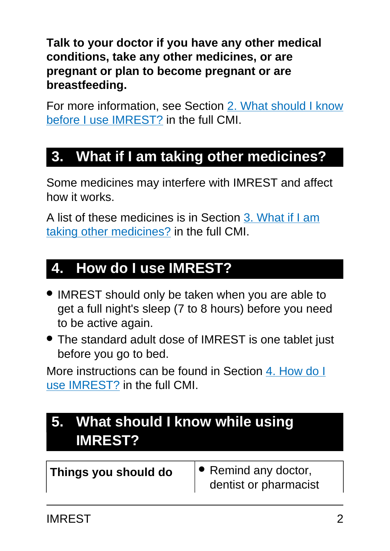**Talk to your doctor if you have any other medical conditions, take any other medicines, or are pregnant or plan to become pregnant or are breastfeeding.**

For more information, see Section [2. What should I know](#page-5-0) [before I use IMREST?](#page-5-0) in the full CMI.

# **3. What if I am taking other medicines?**

Some medicines may interfere with IMREST and affect how it works.

A list of these medicines is in Section [3. What if I am](#page-8-0) [taking other medicines?](#page-8-0) in the full CMI.

# **4. How do I use IMREST?**

- IMREST should only be taken when you are able to get a full night's sleep (7 to 8 hours) before you need to be active again.
- The standard adult dose of IMREST is one tablet just before you go to bed.

More instructions can be found in Section [4. How do I](#page-9-0) [use IMREST?](#page-9-0) in the full CMI.

# **5. What should I know while using IMREST?**

| Things you should do | $\bullet$ Remind any doctor,<br>dentist or pharmacist |
|----------------------|-------------------------------------------------------|
|                      |                                                       |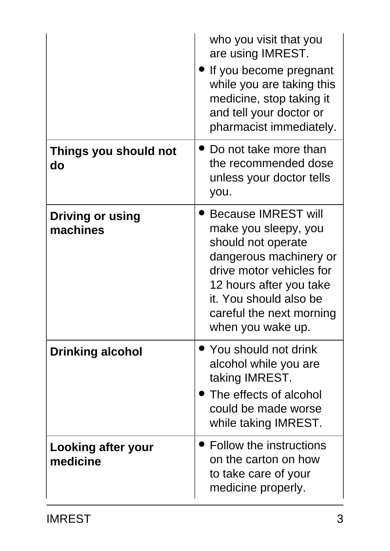|                                     | who you visit that you<br>are using IMREST.<br>If you become pregnant<br>while you are taking this<br>medicine, stop taking it<br>and tell your doctor or<br>pharmacist immediately.                                                 |
|-------------------------------------|--------------------------------------------------------------------------------------------------------------------------------------------------------------------------------------------------------------------------------------|
| Things you should not<br>do         | Do not take more than<br>the recommended dose<br>unless your doctor tells<br>you.                                                                                                                                                    |
| <b>Driving or using</b><br>machines | <b>Because IMREST will</b><br>make you sleepy, you<br>should not operate<br>dangerous machinery or<br>drive motor vehicles for<br>12 hours after you take<br>it. You should also be<br>careful the next morning<br>when you wake up. |
| <b>Drinking alcohol</b>             | • You should not drink<br>alcohol while you are<br>taking IMREST.<br>• The effects of alcohol<br>could be made worse<br>while taking IMREST.                                                                                         |
| Looking after your<br>medicine      | • Follow the instructions<br>on the carton on how<br>to take care of your<br>medicine properly.                                                                                                                                      |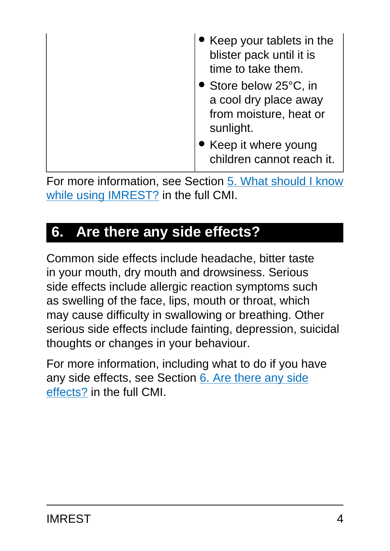| Keep your tablets in the<br>blister pack until it is<br>time to take them.             |
|----------------------------------------------------------------------------------------|
| • Store below 25°C, in<br>a cool dry place away<br>from moisture, heat or<br>sunlight. |
| Keep it where young<br>children cannot reach it.                                       |

For more information, see Section [5. What should I know](#page-12-0) [while using IMREST?](#page-12-0) in the full CMI.

# **6. Are there any side effects?**

Common side effects include headache, bitter taste in your mouth, dry mouth and drowsiness. Serious side effects include allergic reaction symptoms such as swelling of the face, lips, mouth or throat, which may cause difficulty in swallowing or breathing. Other serious side effects include fainting, depression, suicidal thoughts or changes in your behaviour.

For more information, including what to do if you have any side effects, see Section [6. Are there any side](#page-15-0) [effects?](#page-15-0) in the full CMI.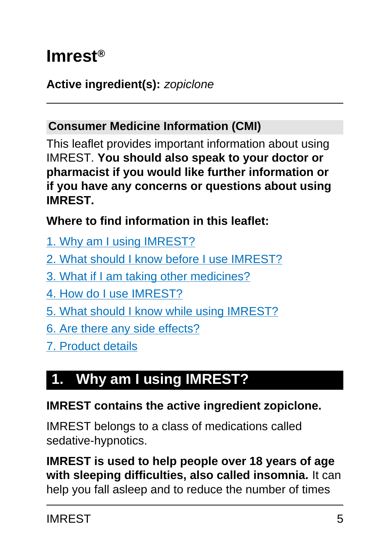# <span id="page-4-0"></span>**Imrest®**

#### **Active ingredient(s):** zopiclone

#### **Consumer Medicine Information (CMI)**

This leaflet provides important information about using IMREST. **You should also speak to your doctor or pharmacist if you would like further information or if you have any concerns or questions about using IMREST.**

**Where to find information in this leaflet:**

- [1. Why am I using IMREST?](#page-4-1)
- [2. What should I know before I use IMREST?](#page-5-0)
- [3. What if I am taking other medicines?](#page-8-0)
- [4. How do I use IMREST?](#page-9-0)
- [5. What should I know while using IMREST?](#page-12-0)
- [6. Are there any side effects?](#page-15-0)
- [7. Product details](#page-19-0)

# <span id="page-4-1"></span>**1. Why am I using IMREST?**

#### **IMREST contains the active ingredient zopiclone.**

IMREST belongs to a class of medications called sedative-hypnotics.

**IMREST is used to help people over 18 years of age with sleeping difficulties, also called insomnia.** It can help you fall asleep and to reduce the number of times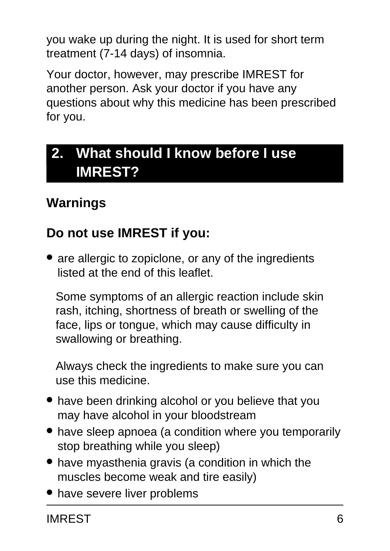you wake up during the night. It is used for short term treatment (7-14 days) of insomnia.

Your doctor, however, may prescribe IMREST for another person. Ask your doctor if you have any questions about why this medicine has been prescribed for you.

# <span id="page-5-0"></span>**2. What should I know before I use IMREST?**

# **Warnings**

### **Do not use IMREST if you:**

• are allergic to zopiclone, or any of the ingredients listed at the end of this leaflet.

Some symptoms of an allergic reaction include skin rash, itching, shortness of breath or swelling of the face, lips or tongue, which may cause difficulty in swallowing or breathing.

Always check the ingredients to make sure you can use this medicine.

- have been drinking alcohol or you believe that you may have alcohol in your bloodstream
- have sleep apnoea (a condition where you temporarily stop breathing while you sleep)
- have myasthenia gravis (a condition in which the muscles become weak and tire easily)
- have severe liver problems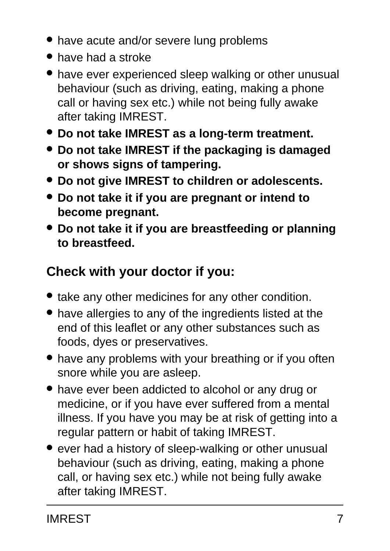- have acute and/or severe lung problems
- have had a stroke
- have ever experienced sleep walking or other unusual behaviour (such as driving, eating, making a phone call or having sex etc.) while not being fully awake after taking IMREST.
- **Do not take IMREST as a long-term treatment.**
- **Do not take IMREST if the packaging is damaged or shows signs of tampering.**
- **Do not give IMREST to children or adolescents.**
- **Do not take it if you are pregnant or intend to become pregnant.**
- **Do not take it if you are breastfeeding or planning to breastfeed.**

# **Check with your doctor if you:**

- take any other medicines for any other condition.
- have allergies to any of the ingredients listed at the end of this leaflet or any other substances such as foods, dyes or preservatives.
- have any problems with your breathing or if you often snore while you are asleep.
- have ever been addicted to alcohol or any drug or medicine, or if you have ever suffered from a mental illness. If you have you may be at risk of getting into a regular pattern or habit of taking IMREST.
- ever had a history of sleep-walking or other unusual behaviour (such as driving, eating, making a phone call, or having sex etc.) while not being fully awake after taking IMREST.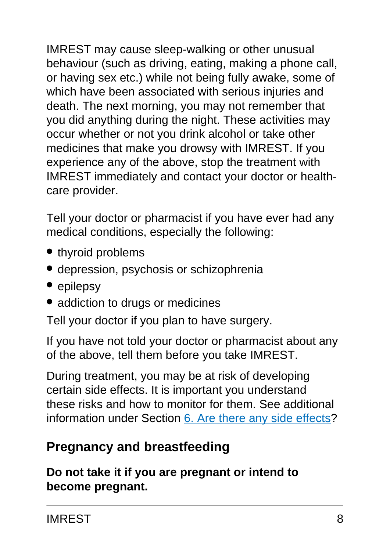IMREST may cause sleep-walking or other unusual behaviour (such as driving, eating, making a phone call, or having sex etc.) while not being fully awake, some of which have been associated with serious injuries and death. The next morning, you may not remember that you did anything during the night. These activities may occur whether or not you drink alcohol or take other medicines that make you drowsy with IMREST. If you experience any of the above, stop the treatment with IMREST immediately and contact your doctor or healthcare provider.

Tell your doctor or pharmacist if you have ever had any medical conditions, especially the following:

- thyroid problems
- depression, psychosis or schizophrenia
- epilepsy
- addiction to drugs or medicines

Tell your doctor if you plan to have surgery.

If you have not told your doctor or pharmacist about any of the above, tell them before you take IMREST.

During treatment, you may be at risk of developing certain side effects. It is important you understand these risks and how to monitor for them. See additional information under Section [6. Are there any side effects](#page-15-0)?

### **Pregnancy and breastfeeding**

**Do not take it if you are pregnant or intend to become pregnant.**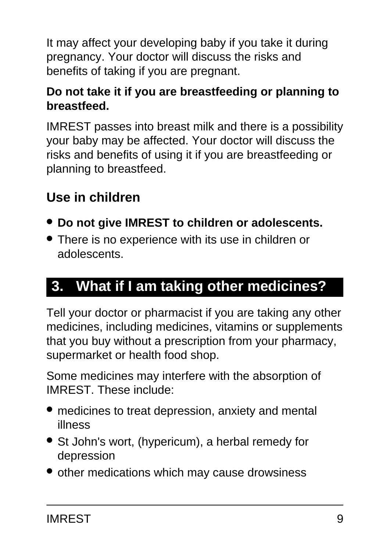It may affect your developing baby if you take it during pregnancy. Your doctor will discuss the risks and benefits of taking if you are pregnant.

#### **Do not take it if you are breastfeeding or planning to breastfeed.**

IMREST passes into breast milk and there is a possibility your baby may be affected. Your doctor will discuss the risks and benefits of using it if you are breastfeeding or planning to breastfeed.

### **Use in children**

- **Do not give IMREST to children or adolescents.**
- There is no experience with its use in children or adolescents.

# <span id="page-8-0"></span>**3. What if I am taking other medicines?**

Tell your doctor or pharmacist if you are taking any other medicines, including medicines, vitamins or supplements that you buy without a prescription from your pharmacy, supermarket or health food shop.

Some medicines may interfere with the absorption of IMREST. These include:

- medicines to treat depression, anxiety and mental illness
- St John's wort, (hypericum), a herbal remedy for depression
- other medications which may cause drowsiness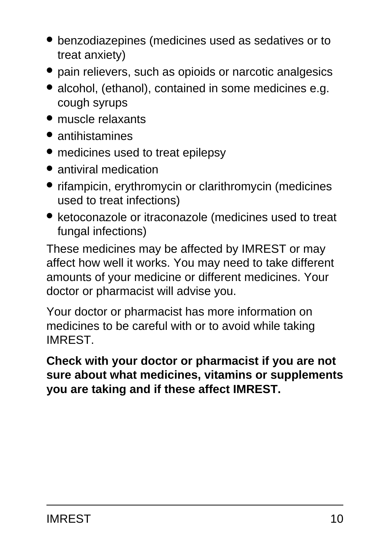- benzodiazepines (medicines used as sedatives or to treat anxiety)
- pain relievers, such as opioids or narcotic analgesics
- alcohol, (ethanol), contained in some medicines e.g. cough syrups
- muscle relaxants
- antihistamines
- medicines used to treat epilepsy
- antiviral medication
- rifampicin, erythromycin or clarithromycin (medicines used to treat infections)
- ketoconazole or itraconazole (medicines used to treat fungal infections)

These medicines may be affected by IMREST or may affect how well it works. You may need to take different amounts of your medicine or different medicines. Your doctor or pharmacist will advise you.

Your doctor or pharmacist has more information on medicines to be careful with or to avoid while taking IMREST.

<span id="page-9-0"></span>**Check with your doctor or pharmacist if you are not sure about what medicines, vitamins or supplements you are taking and if these affect IMREST.**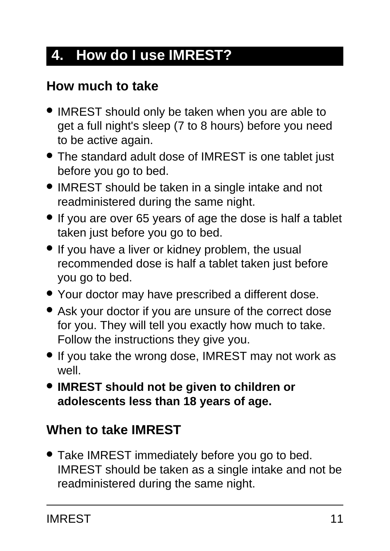# **4. How do I use IMREST?**

### **How much to take**

- IMREST should only be taken when you are able to get a full night's sleep (7 to 8 hours) before you need to be active again.
- The standard adult dose of IMREST is one tablet just before you go to bed.
- IMREST should be taken in a single intake and not readministered during the same night.
- If you are over 65 years of age the dose is half a tablet taken just before you go to bed.
- If you have a liver or kidney problem, the usual recommended dose is half a tablet taken just before you go to bed.
- Your doctor may have prescribed a different dose.
- Ask your doctor if you are unsure of the correct dose for you. They will tell you exactly how much to take. Follow the instructions they give you.
- If you take the wrong dose, IMREST may not work as well.
- **IMREST should not be given to children or adolescents less than 18 years of age.**

## **When to take IMREST**

● Take IMREST immediately before you go to bed. IMREST should be taken as a single intake and not be readministered during the same night.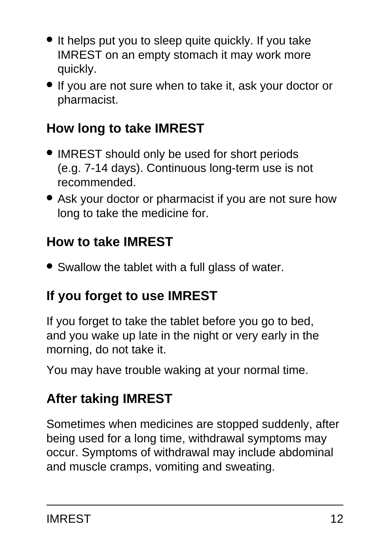- It helps put you to sleep quite quickly. If you take IMREST on an empty stomach it may work more quickly.
- If you are not sure when to take it, ask your doctor or pharmacist.

# **How long to take IMREST**

- IMREST should only be used for short periods (e.g. 7-14 days). Continuous long-term use is not recommended.
- Ask your doctor or pharmacist if you are not sure how long to take the medicine for.

## **How to take IMREST**

• Swallow the tablet with a full glass of water.

## **If you forget to use IMREST**

If you forget to take the tablet before you go to bed, and you wake up late in the night or very early in the morning, do not take it.

You may have trouble waking at your normal time.

# **After taking IMREST**

Sometimes when medicines are stopped suddenly, after being used for a long time, withdrawal symptoms may occur. Symptoms of withdrawal may include abdominal and muscle cramps, vomiting and sweating.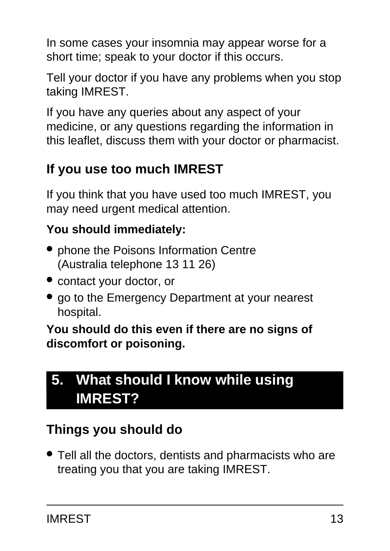In some cases your insomnia may appear worse for a short time; speak to your doctor if this occurs.

Tell your doctor if you have any problems when you stop taking IMREST.

If you have any queries about any aspect of your medicine, or any questions regarding the information in this leaflet, discuss them with your doctor or pharmacist.

# **If you use too much IMREST**

If you think that you have used too much IMREST, you may need urgent medical attention.

#### **You should immediately:**

- phone the Poisons Information Centre (Australia telephone 13 11 26)
- contact your doctor, or
- go to the Emergency Department at your nearest hospital.

**You should do this even if there are no signs of discomfort or poisoning.**

# <span id="page-12-0"></span>**5. What should I know while using IMREST?**

# **Things you should do**

• Tell all the doctors, dentists and pharmacists who are treating you that you are taking IMREST.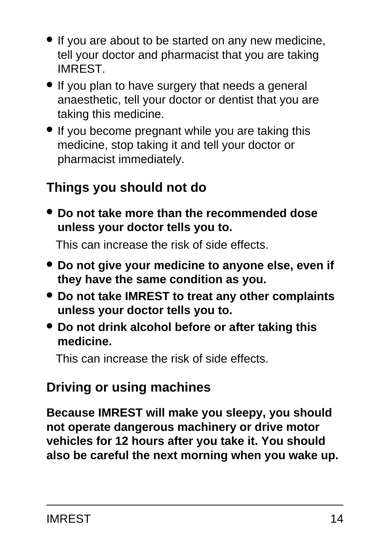- If you are about to be started on any new medicine, tell your doctor and pharmacist that you are taking IMREST.
- If you plan to have surgery that needs a general anaesthetic, tell your doctor or dentist that you are taking this medicine.
- If you become pregnant while you are taking this medicine, stop taking it and tell your doctor or pharmacist immediately.

### **Things you should not do**

● **Do not take more than the recommended dose unless your doctor tells you to.**

This can increase the risk of side effects.

- **Do not give your medicine to anyone else, even if they have the same condition as you.**
- **Do not take IMREST to treat any other complaints unless your doctor tells you to.**
- **Do not drink alcohol before or after taking this medicine.**

This can increase the risk of side effects.

## **Driving or using machines**

**Because IMREST will make you sleepy, you should not operate dangerous machinery or drive motor vehicles for 12 hours after you take it. You should also be careful the next morning when you wake up.**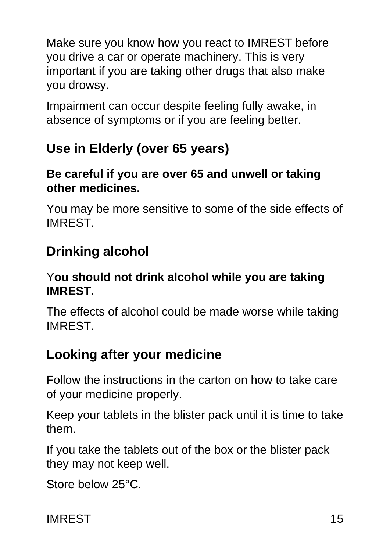Make sure you know how you react to IMREST before you drive a car or operate machinery. This is very important if you are taking other drugs that also make you drowsy.

Impairment can occur despite feeling fully awake, in absence of symptoms or if you are feeling better.

# **Use in Elderly (over 65 years)**

#### **Be careful if you are over 65 and unwell or taking other medicines.**

You may be more sensitive to some of the side effects of IMREST.

# **Drinking alcohol**

#### Y**ou should not drink alcohol while you are taking IMREST.**

The effects of alcohol could be made worse while taking IMREST.

## **Looking after your medicine**

Follow the instructions in the carton on how to take care of your medicine properly.

Keep your tablets in the blister pack until it is time to take them.

If you take the tablets out of the box or the blister pack they may not keep well.

Store below 25°C.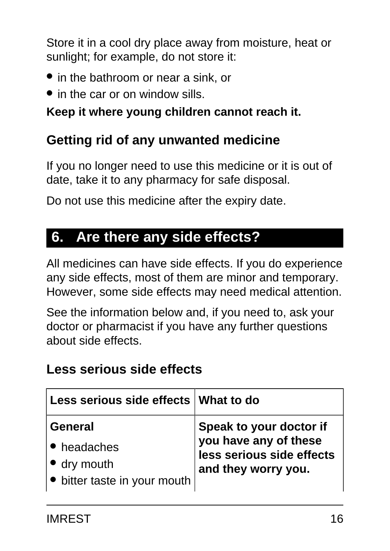Store it in a cool dry place away from moisture, heat or sunlight; for example, do not store it:

- in the bathroom or near a sink, or
- in the car or on window sills.

#### **Keep it where young children cannot reach it.**

#### **Getting rid of any unwanted medicine**

If you no longer need to use this medicine or it is out of date, take it to any pharmacy for safe disposal.

Do not use this medicine after the expiry date.

# <span id="page-15-0"></span>**6. Are there any side effects?**

All medicines can have side effects. If you do experience any side effects, most of them are minor and temporary. However, some side effects may need medical attention.

See the information below and, if you need to, ask your doctor or pharmacist if you have any further questions about side effects.

#### **Less serious side effects**

| Less serious side effects What to do |                           |
|--------------------------------------|---------------------------|
| <b>General</b>                       | Speak to your doctor if   |
| • headaches                          | you have any of these     |
| dry mouth                            | less serious side effects |
| bitter taste in your mouth           | and they worry you.       |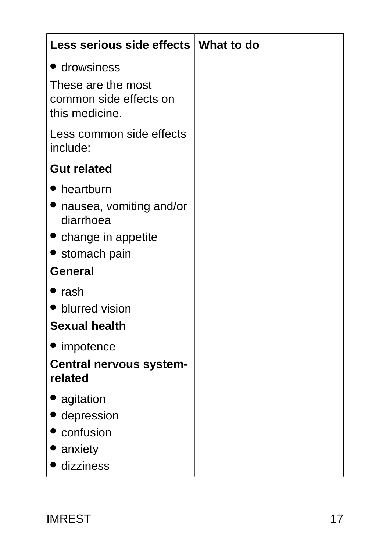| Less serious side effects   What to do                         |  |
|----------------------------------------------------------------|--|
| • drowsiness                                                   |  |
| These are the most<br>common side effects on<br>this medicine. |  |
| Less common side effects<br>include:                           |  |
| <b>Gut related</b>                                             |  |
| • heartburn                                                    |  |
| nausea, vomiting and/or<br>diarrhoea                           |  |
| • change in appetite                                           |  |
| • stomach pain                                                 |  |
| <b>General</b>                                                 |  |
| ' rash                                                         |  |
| • blurred vision                                               |  |
| <b>Sexual health</b>                                           |  |
| impotence                                                      |  |
| <b>Central nervous system-</b><br>related                      |  |
| agitation                                                      |  |
| depression                                                     |  |
| confusion                                                      |  |
| anxiety                                                        |  |
| dizziness                                                      |  |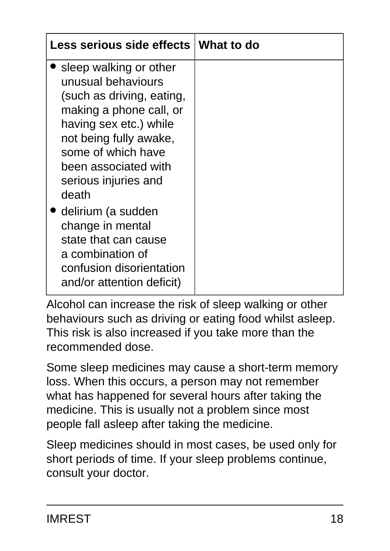| Less serious side effects   What to do                                                                                                                                                                                                  |  |
|-----------------------------------------------------------------------------------------------------------------------------------------------------------------------------------------------------------------------------------------|--|
| sleep walking or other<br>unusual behaviours<br>(such as driving, eating,<br>making a phone call, or<br>having sex etc.) while<br>not being fully awake,<br>some of which have<br>been associated with<br>serious injuries and<br>death |  |
| delirium (a sudden<br>change in mental<br>state that can cause<br>a combination of<br>confusion disorientation<br>and/or attention deficit)                                                                                             |  |

Alcohol can increase the risk of sleep walking or other behaviours such as driving or eating food whilst asleep. This risk is also increased if you take more than the recommended dose.

Some sleep medicines may cause a short-term memory loss. When this occurs, a person may not remember what has happened for several hours after taking the medicine. This is usually not a problem since most people fall asleep after taking the medicine.

Sleep medicines should in most cases, be used only for short periods of time. If your sleep problems continue, consult your doctor.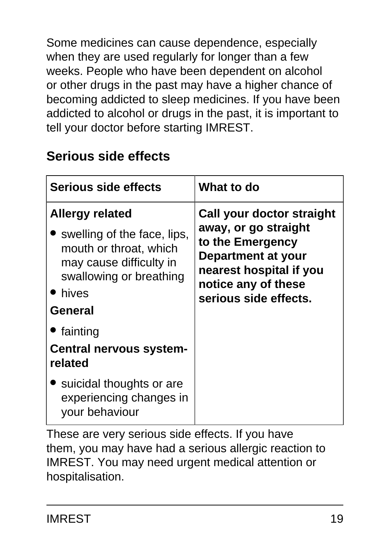Some medicines can cause dependence, especially when they are used regularly for longer than a few weeks. People who have been dependent on alcohol or other drugs in the past may have a higher chance of becoming addicted to sleep medicines. If you have been addicted to alcohol or drugs in the past, it is important to tell your doctor before starting IMREST.

## **Serious side effects**

| Serious side effects                                                                                                                                                                                                 | What to do                                                                                                                                                             |
|----------------------------------------------------------------------------------------------------------------------------------------------------------------------------------------------------------------------|------------------------------------------------------------------------------------------------------------------------------------------------------------------------|
| <b>Allergy related</b><br>swelling of the face, lips,<br>mouth or throat, which<br>may cause difficulty in<br>swallowing or breathing<br>hives<br>General<br>• fainting<br><b>Central nervous system-</b><br>related | Call your doctor straight<br>away, or go straight<br>to the Emergency<br>Department at your<br>nearest hospital if you<br>notice any of these<br>serious side effects. |
| suicidal thoughts or are<br>experiencing changes in<br>your behaviour                                                                                                                                                |                                                                                                                                                                        |

These are very serious side effects. If you have them, you may have had a serious allergic reaction to IMREST. You may need urgent medical attention or hospitalisation.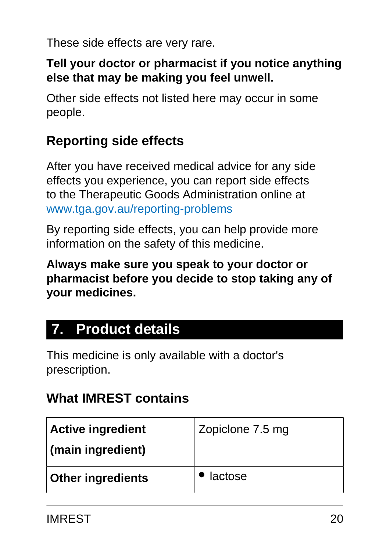These side effects are very rare.

#### **Tell your doctor or pharmacist if you notice anything else that may be making you feel unwell.**

Other side effects not listed here may occur in some people.

## **Reporting side effects**

After you have received medical advice for any side effects you experience, you can report side effects to the Therapeutic Goods Administration online at [www.tga.gov.au/reporting-problems](http://www.tga.gov.au/reporting-problems)

By reporting side effects, you can help provide more information on the safety of this medicine.

**Always make sure you speak to your doctor or pharmacist before you decide to stop taking any of your medicines.**

# <span id="page-19-0"></span>**7. Product details**

This medicine is only available with a doctor's prescription.

## **What IMREST contains**

| <b>Active ingredient</b> | Zopiclone 7.5 mg |
|--------------------------|------------------|
| (main ingredient)        |                  |
| <b>Other ingredients</b> | lactose          |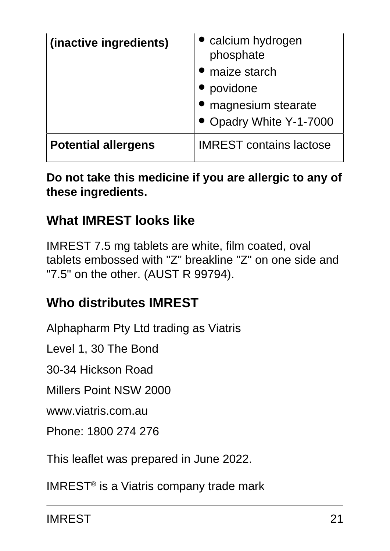| (inactive ingredients)     | calcium hydrogen<br>phosphate  |
|----------------------------|--------------------------------|
|                            | maize starch                   |
|                            | povidone                       |
|                            | magnesium stearate             |
|                            | • Opadry White Y-1-7000        |
| <b>Potential allergens</b> | <b>IMREST contains lactose</b> |

#### **Do not take this medicine if you are allergic to any of these ingredients.**

#### **What IMREST looks like**

IMREST 7.5 mg tablets are white, film coated, oval tablets embossed with "Z" breakline "Z" on one side and "7.5" on the other. (AUST R 99794).

### **Who distributes IMREST**

Alphapharm Pty Ltd trading as Viatris

Level 1, 30 The Bond

30-34 Hickson Road

Millers Point NSW 2000

www.viatris.com.au

Phone: 1800 274 276

This leaflet was prepared in June 2022.

IMREST**®** is a Viatris company trade mark